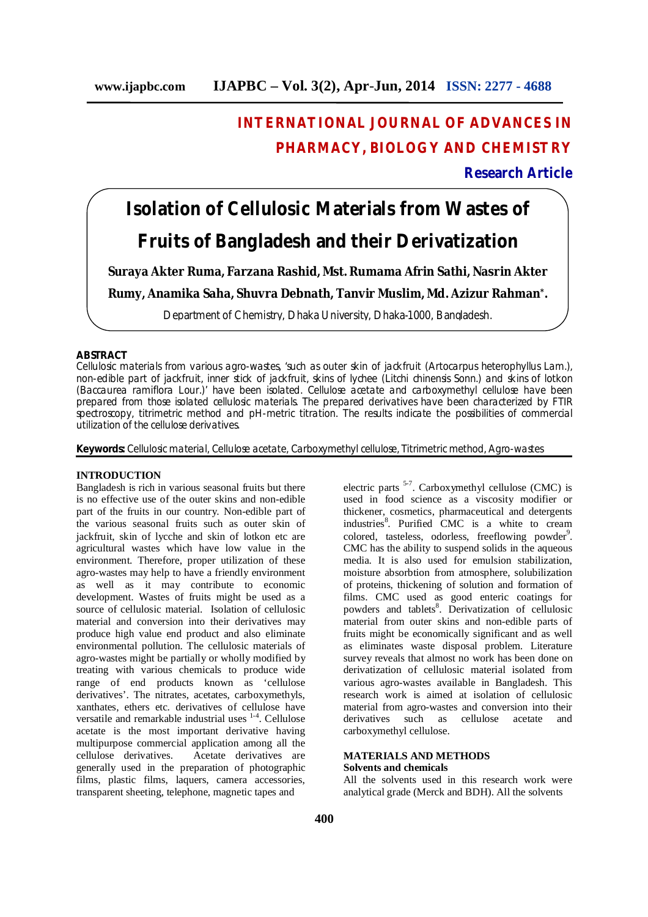## **INTERNATIONAL JOURNAL OF ADVANCES IN PHARMACY, BIOLOGY AND CHEMISTRY**

## **Research Article**

# **Isolation of Cellulosic Materials from Wastes of Fruits of Bangladesh and their Derivatization**

**Suraya Akter Ruma, Farzana Rashid, Mst. Rumama Afrin Sathi, Nasrin Akter** 

**Rumy, Anamika Saha, Shuvra Debnath, Tanvir Muslim, Md. Azizur Rahman\* .**

Department of Chemistry, Dhaka University, Dhaka-1000, Bangladesh.

## **ABSTRACT**

Cellulosic materials from various agro-wastes, 'such as outer skin of jackfruit (*Artocarpus heterophyllus* Lam.), non-edible part of jackfruit, inner stick of jackfruit, skins of lychee (*Litchi chinensis* Sonn.) and skins of lotkon (*Baccaurea ramiflora* Lour.)' have been isolated. Cellulose acetate and carboxymethyl cellulose have been prepared from those isolated cellulosic materials. The prepared derivatives have been characterized by FTIR spectroscopy, titrimetric method and pH-metric titration. The results indicate the possibilities of commercial utilization of the cellulose derivatives.

**Keywords:** Cellulosic material, Cellulose acetate, Carboxymethyl cellulose, Titrimetric method, Agro-wastes

## **INTRODUCTION**

Bangladesh is rich in various seasonal fruits but there is no effective use of the outer skins and non-edible part of the fruits in our country. Non-edible part of the various seasonal fruits such as outer skin of jackfruit, skin of lycche and skin of lotkon etc are agricultural wastes which have low value in the environment. Therefore, proper utilization of these agro-wastes may help to have a friendly environment as well as it may contribute to economic development. Wastes of fruits might be used as a source of cellulosic material. Isolation of cellulosic material and conversion into their derivatives may produce high value end product and also eliminate environmental pollution. The cellulosic materials of agro-wastes might be partially or wholly modified by treating with various chemicals to produce wide range of end products known as 'cellulose derivatives'. The nitrates, acetates, carboxymethyls, xanthates, ethers etc. derivatives of cellulose have versatile and remarkable industrial uses <sup>1-4</sup>. Cellulose acetate is the most important derivative having multipurpose commercial application among all the cellulose derivatives. Acetate derivatives are generally used in the preparation of photographic films, plastic films, laquers, camera accessories, transparent sheeting, telephone, magnetic tapes and

electric parts <sup>5-7</sup>. Carboxymethyl cellulose (CMC) is used in food science as a viscosity modifier or thickener, cosmetics, pharmaceutical and detergents industries<sup>8</sup>. Purified CMC is a white to cream colored, tasteless, odorless, freeflowing powder<sup>9</sup>. CMC has the ability to suspend solids in the aqueous media. It is also used for emulsion stabilization, moisture absorbtion from atmosphere, solubilization of proteins, thickening of solution and formation of films. CMC used as good enteric coatings for powders and tablets<sup>8</sup>. Derivatization of cellulosic material from outer skins and non-edible parts of fruits might be economically significant and as well as eliminates waste disposal problem. Literature survey reveals that almost no work has been done on derivatization of cellulosic material isolated from various agro-wastes available in Bangladesh. This research work is aimed at isolation of cellulosic material from agro-wastes and conversion into their derivatives such as cellulose acetate and carboxymethyl cellulose.

## **MATERIALS AND METHODS**

## **Solvents and chemicals**

All the solvents used in this research work were analytical grade (Merck and BDH). All the solvents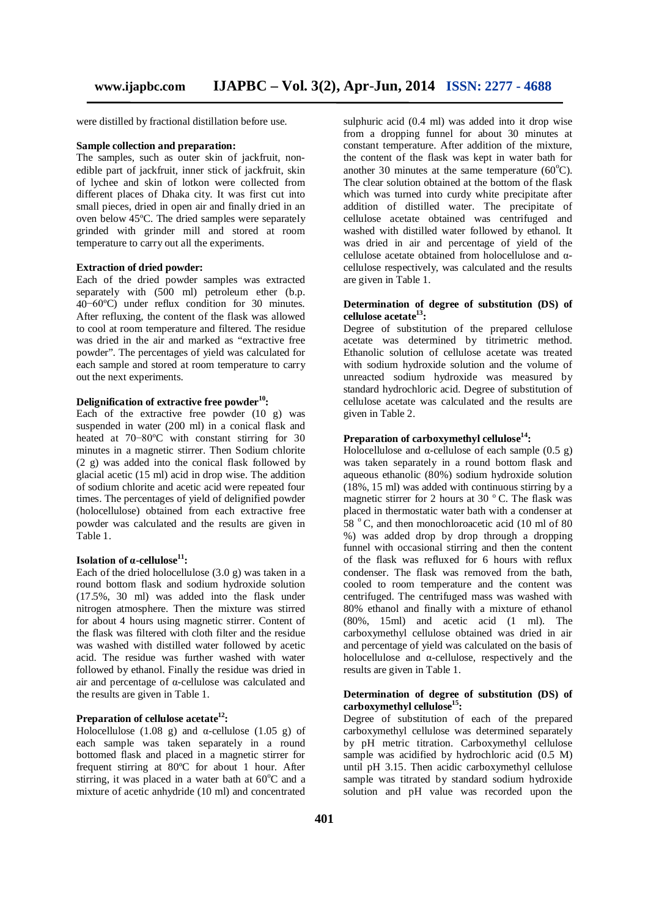were distilled by fractional distillation before use.

#### **Sample collection and preparation:**

The samples, such as outer skin of jackfruit, nonedible part of jackfruit, inner stick of jackfruit, skin of lychee and skin of lotkon were collected from different places of Dhaka city. It was first cut into small pieces, dried in open air and finally dried in an oven below 45ºC. The dried samples were separately grinded with grinder mill and stored at room temperature to carry out all the experiments.

## **Extraction of dried powder:**

Each of the dried powder samples was extracted separately with (500 ml) petroleum ether (b.p. 40−60ºC) under reflux condition for 30 minutes. After refluxing, the content of the flask was allowed to cool at room temperature and filtered. The residue was dried in the air and marked as "extractive free powder". The percentages of yield was calculated for each sample and stored at room temperature to carry out the next experiments.

## **Delignification of extractive free powder<sup>10</sup>:**

Each of the extractive free powder  $(10 \text{ g})$  was suspended in water (200 ml) in a conical flask and heated at 70−80ºC with constant stirring for 30 minutes in a magnetic stirrer. Then Sodium chlorite (2 g) was added into the conical flask followed by glacial acetic (15 ml) acid in drop wise. The addition of sodium chlorite and acetic acid were repeated four times. The percentages of yield of delignified powder (holocellulose) obtained from each extractive free powder was calculated and the results are given in Table 1.

## **Isolation of α-cellulose<sup>11</sup>:**

Each of the dried holocellulose  $(3.0 \text{ g})$  was taken in a round bottom flask and sodium hydroxide solution (17.5%, 30 ml) was added into the flask under nitrogen atmosphere. Then the mixture was stirred for about 4 hours using magnetic stirrer. Content of the flask was filtered with cloth filter and the residue was washed with distilled water followed by acetic acid. The residue was further washed with water followed by ethanol. Finally the residue was dried in air and percentage of α-cellulose was calculated and the results are given in Table 1.

#### **Preparation of cellulose acetate<sup>12</sup>:**

Holocellulose (1.08 g) and  $\alpha$ -cellulose (1.05 g) of each sample was taken separately in a round bottomed flask and placed in a magnetic stirrer for frequent stirring at 80ºC for about 1 hour. After stirring, it was placed in a water bath at  $60^{\circ}$ C and a mixture of acetic anhydride (10 ml) and concentrated

sulphuric acid (0.4 ml) was added into it drop wise from a dropping funnel for about 30 minutes at constant temperature. After addition of the mixture, the content of the flask was kept in water bath for another 30 minutes at the same temperature  $(60^{\circ}C)$ . The clear solution obtained at the bottom of the flask which was turned into curdy white precipitate after addition of distilled water. The precipitate of cellulose acetate obtained was centrifuged and washed with distilled water followed by ethanol. It was dried in air and percentage of yield of the cellulose acetate obtained from holocellulose and αcellulose respectively, was calculated and the results are given in Table 1.

## **Determination of degree of substitution (DS) of cellulose acetate<sup>13</sup>:**

Degree of substitution of the prepared cellulose acetate was determined by titrimetric method. Ethanolic solution of cellulose acetate was treated with sodium hydroxide solution and the volume of unreacted sodium hydroxide was measured by standard hydrochloric acid. Degree of substitution of cellulose acetate was calculated and the results are given in Table 2.

## **Preparation of carboxymethyl cellulose<sup>14</sup>:**

Holocellulose and  $\alpha$ -cellulose of each sample (0.5 g) was taken separately in a round bottom flask and aqueous ethanolic (80%) sodium hydroxide solution (18%, 15 ml) was added with continuous stirring by a magnetic stirrer for 2 hours at 30 $\degree$ C. The flask was placed in thermostatic water bath with a condenser at  $58^\circ$  C, and then monochloroacetic acid (10 ml of 80) %) was added drop by drop through a dropping funnel with occasional stirring and then the content of the flask was refluxed for 6 hours with reflux condenser. The flask was removed from the bath, cooled to room temperature and the content was centrifuged. The centrifuged mass was washed with 80% ethanol and finally with a mixture of ethanol (80%, 15ml) and acetic acid (1 ml). The carboxymethyl cellulose obtained was dried in air and percentage of yield was calculated on the basis of holocellulose and  $\alpha$ -cellulose, respectively and the results are given in Table 1.

## **Determination of degree of substitution (DS) of carboxymethyl cellulose<sup>15</sup>:**

Degree of substitution of each of the prepared carboxymethyl cellulose was determined separately by pH metric titration. Carboxymethyl cellulose sample was acidified by hydrochloric acid  $(0.5 \text{ M})$ until pH 3.15. Then acidic carboxymethyl cellulose sample was titrated by standard sodium hydroxide solution and pH value was recorded upon the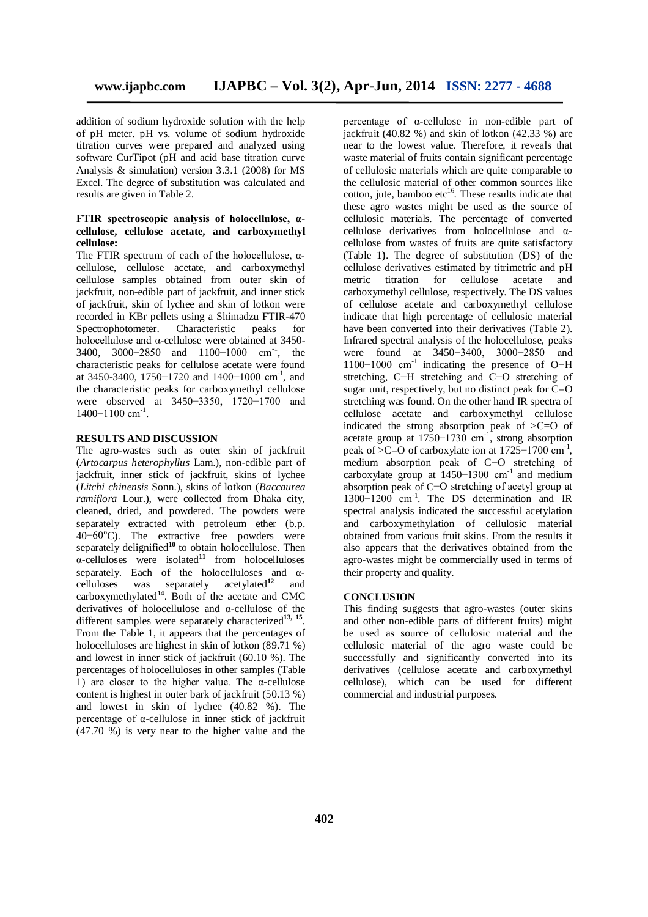addition of sodium hydroxide solution with the help of pH meter. pH vs. volume of sodium hydroxide titration curves were prepared and analyzed using software CurTipot (pH and acid base titration curve Analysis & simulation) version 3.3.1 (2008) for MS Excel. The degree of substitution was calculated and results are given in Table 2.

## **FTIR spectroscopic analysis of holocellulose, αcellulose, cellulose acetate, and carboxymethyl cellulose:**

The FTIR spectrum of each of the holocellulose,  $\alpha$ cellulose, cellulose acetate, and carboxymethyl cellulose samples obtained from outer skin of jackfruit, non-edible part of jackfruit, and inner stick of jackfruit, skin of lychee and skin of lotkon were recorded in KBr pellets using a Shimadzu FTIR-470 Spectrophotometer. Characteristic peaks for holocellulose and α-cellulose were obtained at 3450- 3400, 3000-2850 and 1100-1000 cm<sup>-1</sup>, the characteristic peaks for cellulose acetate were found at 3450-3400, 1750−1720 and 1400−1000 cm-1 , and the characteristic peaks for carboxymethyl cellulose were observed at 3450−3350, 1720−1700 and 1400-1100 cm<sup>-1</sup>.

## **RESULTS AND DISCUSSION**

The agro-wastes such as outer skin of jackfruit (*Artocarpus heterophyllus* Lam.), non-edible part of jackfruit, inner stick of jackfruit, skins of lychee (*Litchi chinensis* Sonn.), skins of lotkon (*Baccaurea ramiflora* Lour.), were collected from Dhaka city, cleaned, dried, and powdered. The powders were separately extracted with petroleum ether (b.p. 40−60<sup>o</sup>C). The extractive free powders were separately delignified<sup>10</sup> to obtain holocellulose. Then  $\alpha$ -celluloses were isolated<sup>11</sup> from holocelluloses separately. Each of the holocelluloses and  $\alpha$ celluloses was separately acetylated**<sup>12</sup>** and carboxymethylated**<sup>14</sup>**. Both of the acetate and CMC derivatives of holocellulose and α-cellulose of the different samples were separately characterized<sup>13, 15</sup>. From the Table 1, it appears that the percentages of holocelluloses are highest in skin of lotkon (89.71 %) and lowest in inner stick of jackfruit (60.10 %). The percentages of holocelluloses in other samples (Table 1) are closer to the higher value. The  $\alpha$ -cellulose content is highest in outer bark of jackfruit (50.13 %) and lowest in skin of lychee (40.82 %). The percentage of α-cellulose in inner stick of jackfruit (47.70 %) is very near to the higher value and the

percentage of α-cellulose in non-edible part of jackfruit (40.82 %) and skin of lotkon (42.33 %) are near to the lowest value. Therefore, it reveals that waste material of fruits contain significant percentage of cellulosic materials which are quite comparable to the cellulosic material of other common sources like cotton, jute, bamboo etc $16$ . These results indicate that these agro wastes might be used as the source of cellulosic materials. The percentage of converted cellulose derivatives from holocellulose and αcellulose from wastes of fruits are quite satisfactory (Table 1**)**. The degree of substitution (DS) of the cellulose derivatives estimated by titrimetric and pH metric titration for cellulose acetate and carboxymethyl cellulose, respectively. The DS values of cellulose acetate and carboxymethyl cellulose indicate that high percentage of cellulosic material have been converted into their derivatives (Table 2). Infrared spectral analysis of the holocellulose, peaks were found at 3450−3400, 3000−2850 and 1100−1000 cm-1 indicating the presence of O−H stretching, C−H stretching and C−O stretching of sugar unit, respectively, but no distinct peak for  $C=O$ stretching was found. On the other hand IR spectra of cellulose acetate and carboxymethyl cellulose indicated the strong absorption peak of >C=O of acetate group at  $1750-1730$  cm<sup>-1</sup>, strong absorption peak of >C=O of carboxylate ion at  $1725-1700$  cm<sup>-1</sup>, medium absorption peak of C−O stretching of carboxylate group at 1450−1300 cm-1 and medium absorption peak of C−O stretching of acetyl group at 1300−1200 cm-1 . The DS determination and IR spectral analysis indicated the successful acetylation and carboxymethylation of cellulosic material obtained from various fruit skins. From the results it also appears that the derivatives obtained from the agro-wastes might be commercially used in terms of their property and quality.

## **CONCLUSION**

This finding suggests that agro-wastes (outer skins and other non-edible parts of different fruits) might be used as source of cellulosic material and the cellulosic material of the agro waste could be successfully and significantly converted into its derivatives (cellulose acetate and carboxymethyl cellulose), which can be used for different commercial and industrial purposes.